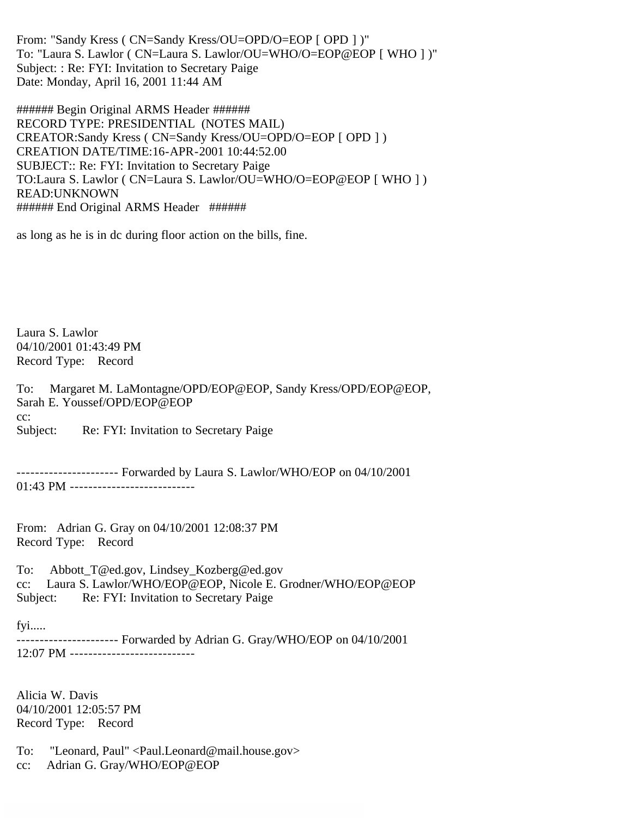From: "Sandy Kress ( CN=Sandy Kress/OU=OPD/O=EOP [ OPD ] )" To: "Laura S. Lawlor ( CN=Laura S. Lawlor/OU=WHO/O=EOP@EOP [ WHO ] )" Subject: : Re: FYI: Invitation to Secretary Paige Date: Monday, April 16, 2001 11:44 AM

###### Begin Original ARMS Header ###### RECORD TYPE: PRESIDENTIAL (NOTES MAIL) CREATOR:Sandy Kress ( CN=Sandy Kress/OU=OPD/O=EOP [ OPD ] ) CREATION DATE/TIME:16-APR-2001 10:44:52.00 SUBJECT:: Re: FYI: Invitation to Secretary Paige TO:Laura S. Lawlor ( CN=Laura S. Lawlor/OU=WHO/O=EOP@EOP [ WHO ] ) READ:UNKNOWN ###### End Original ARMS Header ######

as long as he is in dc during floor action on the bills, fine.

Laura S. Lawlor 04/10/2001 01:43:49 PM Record Type: Record

To: Margaret M. LaMontagne/OPD/EOP@EOP, Sandy Kress/OPD/EOP@EOP, Sarah E. Youssef/OPD/EOP@EOP cc:

Subject: Re: FYI: Invitation to Secretary Paige

---------------------- Forwarded by Laura S. Lawlor/WHO/EOP on 04/10/2001 01:43 PM -----------------------------

From: Adrian G. Gray on 04/10/2001 12:08:37 PM Record Type: Record

To: Abbott\_T@ed.gov, Lindsey\_Kozberg@ed.gov cc: Laura S. Lawlor/WHO/EOP@EOP, Nicole E. Grodner/WHO/EOP@EOP Subject: Re: FYI: Invitation to Secretary Paige

fyi.....

---------------------- Forwarded by Adrian G. Gray/WHO/EOP on 04/10/2001 12:07 PM ---------------------------

Alicia W. Davis 04/10/2001 12:05:57 PM Record Type: Record

To: "Leonard, Paul" <Paul.Leonard@mail.house.gov>

cc: Adrian G. Gray/WHO/EOP@EOP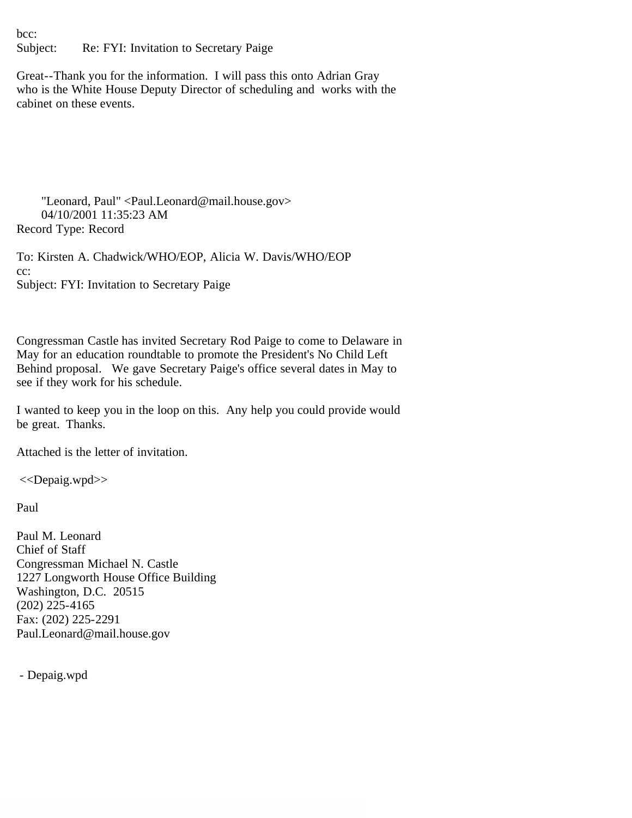bcc: Subject: Re: FYI: Invitation to Secretary Paige

Great--Thank you for the information. I will pass this onto Adrian Gray who is the White House Deputy Director of scheduling and works with the cabinet on these events.

 "Leonard, Paul" <Paul.Leonard@mail.house.gov> 04/10/2001 11:35:23 AM Record Type: Record

To: Kirsten A. Chadwick/WHO/EOP, Alicia W. Davis/WHO/EOP cc: Subject: FYI: Invitation to Secretary Paige

Congressman Castle has invited Secretary Rod Paige to come to Delaware in May for an education roundtable to promote the President's No Child Left Behind proposal. We gave Secretary Paige's office several dates in May to see if they work for his schedule.

I wanted to keep you in the loop on this. Any help you could provide would be great. Thanks.

Attached is the letter of invitation.

<<Depaig.wpd>>

Paul

Paul M. Leonard Chief of Staff Congressman Michael N. Castle 1227 Longworth House Office Building Washington, D.C. 20515 (202) 225-4165 Fax: (202) 225-2291 Paul.Leonard@mail.house.gov

- Depaig.wpd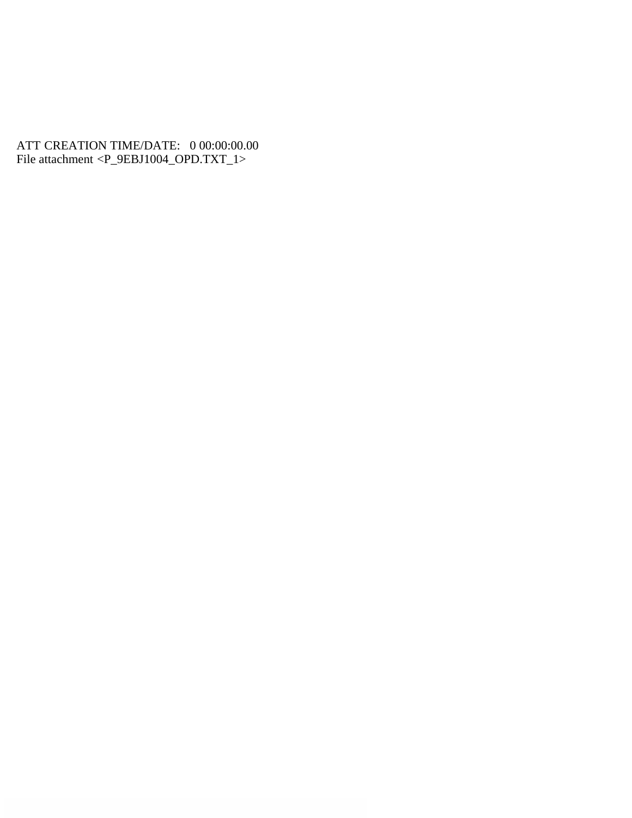## ATT CREATION TIME/DATE: 0 00:00:00.00 File attachment <P\_9EBJ1004\_OPD.TXT\_1>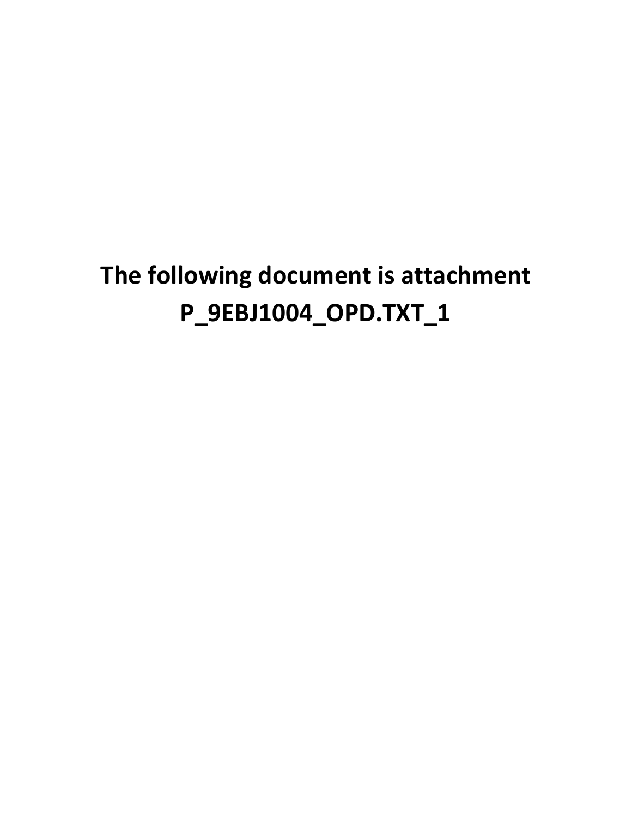## **The following document is attachment P\_9EBJ1004\_OPD.TXT\_1**